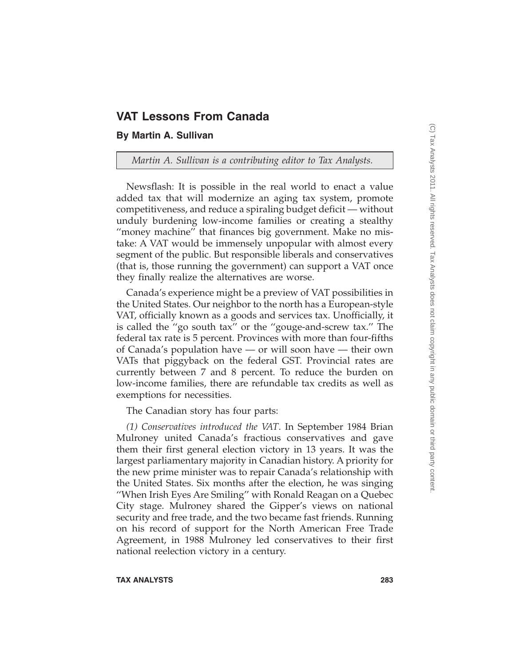# **VAT Lessons From Canada**

## **By Martin A. Sullivan**

*Martin A. Sullivan is a contributing editor to Tax Analysts.*

Newsflash: It is possible in the real world to enact a value added tax that will modernize an aging tax system, promote competitiveness, and reduce a spiraling budget deficit — without unduly burdening low-income families or creating a stealthy ''money machine'' that finances big government. Make no mistake: A VAT would be immensely unpopular with almost every segment of the public. But responsible liberals and conservatives (that is, those running the government) can support a VAT once they finally realize the alternatives are worse.

Canada's experience might be a preview of VAT possibilities in the United States. Our neighbor to the north has a European-style VAT, officially known as a goods and services tax. Unofficially, it is called the ''go south tax'' or the ''gouge-and-screw tax.'' The federal tax rate is 5 percent. Provinces with more than four-fifths of Canada's population have — or will soon have — their own VATs that piggyback on the federal GST. Provincial rates are currently between 7 and 8 percent. To reduce the burden on low-income families, there are refundable tax credits as well as exemptions for necessities.

The Canadian story has four parts:

*(1) Conservatives introduced the VAT*. In September 1984 Brian Mulroney united Canada's fractious conservatives and gave them their first general election victory in 13 years. It was the largest parliamentary majority in Canadian history. A priority for the new prime minister was to repair Canada's relationship with the United States. Six months after the election, he was singing ''When Irish Eyes Are Smiling'' with Ronald Reagan on a Quebec City stage. Mulroney shared the Gipper's views on national security and free trade, and the two became fast friends. Running on his record of support for the North American Free Trade Agreement, in 1988 Mulroney led conservatives to their first national reelection victory in a century.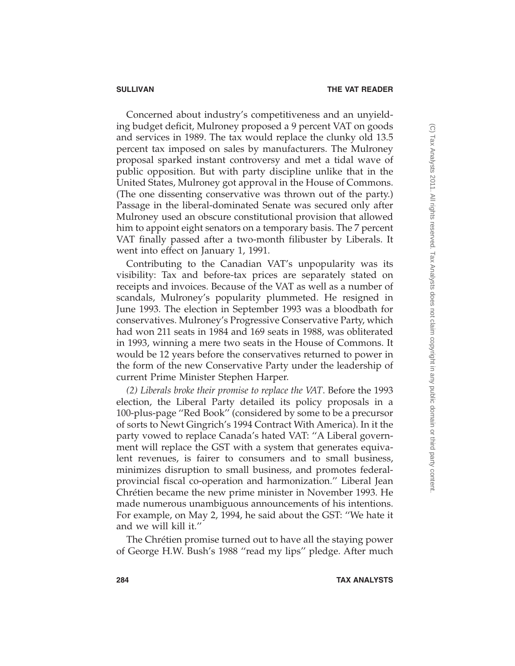Concerned about industry's competitiveness and an unyielding budget deficit, Mulroney proposed a 9 percent VAT on goods and services in 1989. The tax would replace the clunky old 13.5 percent tax imposed on sales by manufacturers. The Mulroney proposal sparked instant controversy and met a tidal wave of public opposition. But with party discipline unlike that in the United States, Mulroney got approval in the House of Commons. (The one dissenting conservative was thrown out of the party.) Passage in the liberal-dominated Senate was secured only after Mulroney used an obscure constitutional provision that allowed him to appoint eight senators on a temporary basis. The 7 percent VAT finally passed after a two-month filibuster by Liberals. It went into effect on January 1, 1991.

Contributing to the Canadian VAT's unpopularity was its visibility: Tax and before-tax prices are separately stated on receipts and invoices. Because of the VAT as well as a number of scandals, Mulroney's popularity plummeted. He resigned in June 1993. The election in September 1993 was a bloodbath for conservatives. Mulroney's Progressive Conservative Party, which had won 211 seats in 1984 and 169 seats in 1988, was obliterated in 1993, winning a mere two seats in the House of Commons. It would be 12 years before the conservatives returned to power in the form of the new Conservative Party under the leadership of current Prime Minister Stephen Harper.

*(2) Liberals broke their promise to replace the VAT*. Before the 1993 election, the Liberal Party detailed its policy proposals in a 100-plus-page ''Red Book'' (considered by some to be a precursor of sorts to Newt Gingrich's 1994 Contract With America). In it the party vowed to replace Canada's hated VAT: ''A Liberal government will replace the GST with a system that generates equivalent revenues, is fairer to consumers and to small business, minimizes disruption to small business, and promotes federalprovincial fiscal co-operation and harmonization.'' Liberal Jean Chrétien became the new prime minister in November 1993. He made numerous unambiguous announcements of his intentions. For example, on May 2, 1994, he said about the GST: ''We hate it and we will kill it.''

The Chrétien promise turned out to have all the staying power of George H.W. Bush's 1988 ''read my lips'' pledge. After much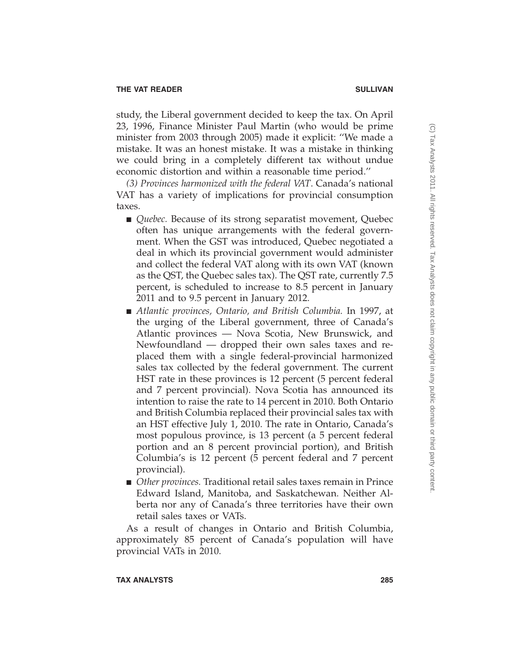study, the Liberal government decided to keep the tax. On April 23, 1996, Finance Minister Paul Martin (who would be prime minister from 2003 through 2005) made it explicit: ''We made a mistake. It was an honest mistake. It was a mistake in thinking we could bring in a completely different tax without undue economic distortion and within a reasonable time period.''

*(3) Provinces harmonized with the federal VAT*. Canada's national VAT has a variety of implications for provincial consumption taxes.

- *Quebec*. Because of its strong separatist movement, Quebec often has unique arrangements with the federal government. When the GST was introduced, Quebec negotiated a deal in which its provincial government would administer and collect the federal VAT along with its own VAT (known as the QST, the Quebec sales tax). The QST rate, currently 7.5 percent, is scheduled to increase to 8.5 percent in January 2011 and to 9.5 percent in January 2012.
- *Atlantic provinces, Ontario, and British Columbia.* In 1997, at the urging of the Liberal government, three of Canada's Atlantic provinces — Nova Scotia, New Brunswick, and Newfoundland — dropped their own sales taxes and replaced them with a single federal-provincial harmonized sales tax collected by the federal government. The current HST rate in these provinces is 12 percent (5 percent federal and 7 percent provincial). Nova Scotia has announced its intention to raise the rate to 14 percent in 2010. Both Ontario and British Columbia replaced their provincial sales tax with an HST effective July 1, 2010. The rate in Ontario, Canada's most populous province, is 13 percent (a 5 percent federal portion and an 8 percent provincial portion), and British Columbia's is 12 percent (5 percent federal and 7 percent provincial).
- *Other provinces*. Traditional retail sales taxes remain in Prince Edward Island, Manitoba, and Saskatchewan. Neither Alberta nor any of Canada's three territories have their own retail sales taxes or VATs.

As a result of changes in Ontario and British Columbia, approximately 85 percent of Canada's population will have provincial VATs in 2010.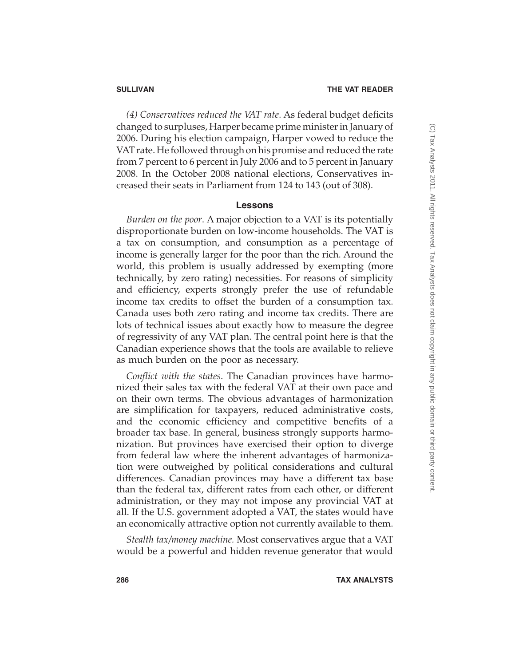*(4) Conservatives reduced the VAT rate*. As federal budget deficits changed to surpluses, Harper became prime minister in January of 2006. During his election campaign, Harper vowed to reduce the VAT rate. He followed through on his promise and reduced the rate from 7 percent to 6 percent in July 2006 and to 5 percent in January 2008. In the October 2008 national elections, Conservatives increased their seats in Parliament from 124 to 143 (out of 308).

### **Lessons**

*Burden on the poor*. A major objection to a VAT is its potentially disproportionate burden on low-income households. The VAT is a tax on consumption, and consumption as a percentage of income is generally larger for the poor than the rich. Around the world, this problem is usually addressed by exempting (more technically, by zero rating) necessities. For reasons of simplicity and efficiency, experts strongly prefer the use of refundable income tax credits to offset the burden of a consumption tax. Canada uses both zero rating and income tax credits. There are lots of technical issues about exactly how to measure the degree of regressivity of any VAT plan. The central point here is that the Canadian experience shows that the tools are available to relieve as much burden on the poor as necessary.

*Conflict with the states*. The Canadian provinces have harmonized their sales tax with the federal VAT at their own pace and on their own terms. The obvious advantages of harmonization are simplification for taxpayers, reduced administrative costs, and the economic efficiency and competitive benefits of a broader tax base. In general, business strongly supports harmonization. But provinces have exercised their option to diverge from federal law where the inherent advantages of harmonization were outweighed by political considerations and cultural differences. Canadian provinces may have a different tax base than the federal tax, different rates from each other, or different administration, or they may not impose any provincial VAT at all. If the U.S. government adopted a VAT, the states would have an economically attractive option not currently available to them.

*Stealth tax/money machine.* Most conservatives argue that a VAT would be a powerful and hidden revenue generator that would

(C) Tax Analysts 2011. All rights reserved. Tax Analysts does not claim copyright in any public domain or third party content.(C) Tax Analysts 2011. All rights reserved. Tax Analysts does not claim copyright in any public domain or third party content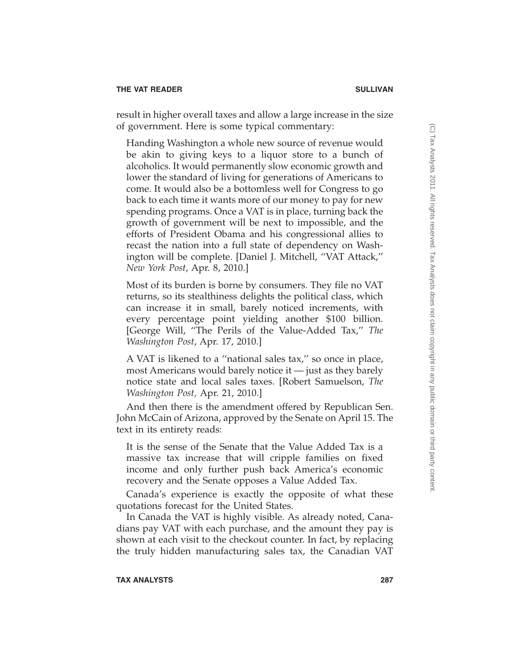result in higher overall taxes and allow a large increase in the size of government. Here is some typical commentary:

Handing Washington a whole new source of revenue would be akin to giving keys to a liquor store to a bunch of alcoholics. It would permanently slow economic growth and lower the standard of living for generations of Americans to come. It would also be a bottomless well for Congress to go back to each time it wants more of our money to pay for new spending programs. Once a VAT is in place, turning back the growth of government will be next to impossible, and the efforts of President Obama and his congressional allies to recast the nation into a full state of dependency on Washington will be complete. [Daniel J. Mitchell, ''VAT Attack,'' *New York Post*, Apr. 8, 2010.]

Most of its burden is borne by consumers. They file no VAT returns, so its stealthiness delights the political class, which can increase it in small, barely noticed increments, with every percentage point yielding another \$100 billion. [George Will, ''The Perils of the Value-Added Tax,'' *The Washington Post*, Apr. 17, 2010.]

A VAT is likened to a ''national sales tax,'' so once in place, most Americans would barely notice it — just as they barely notice state and local sales taxes. [Robert Samuelson, *The Washington Post,* Apr. 21, 2010.]

And then there is the amendment offered by Republican Sen. John McCain of Arizona, approved by the Senate on April 15. The text in its entirety reads:

It is the sense of the Senate that the Value Added Tax is a massive tax increase that will cripple families on fixed income and only further push back America's economic recovery and the Senate opposes a Value Added Tax.

Canada's experience is exactly the opposite of what these quotations forecast for the United States.

In Canada the VAT is highly visible. As already noted, Canadians pay VAT with each purchase, and the amount they pay is shown at each visit to the checkout counter. In fact, by replacing the truly hidden manufacturing sales tax, the Canadian VAT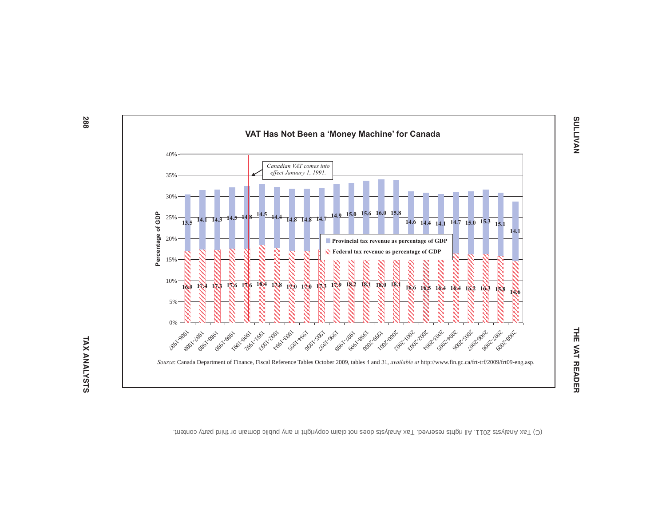

(C) Tax Analysts 2011. All rights reserved. Tax Analysts does not claim copyright in any public domain or third party content.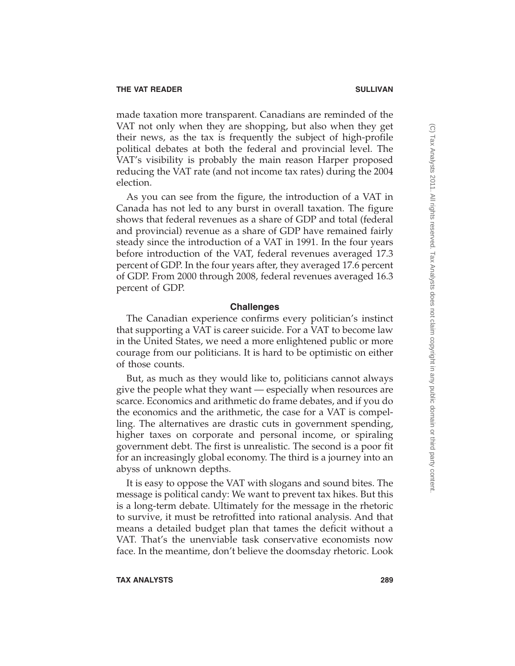made taxation more transparent. Canadians are reminded of the VAT not only when they are shopping, but also when they get their news, as the tax is frequently the subject of high-profile political debates at both the federal and provincial level. The VAT's visibility is probably the main reason Harper proposed reducing the VAT rate (and not income tax rates) during the 2004 election.

As you can see from the figure, the introduction of a VAT in Canada has not led to any burst in overall taxation. The figure shows that federal revenues as a share of GDP and total (federal and provincial) revenue as a share of GDP have remained fairly steady since the introduction of a VAT in 1991. In the four years before introduction of the VAT, federal revenues averaged 17.3 percent of GDP. In the four years after, they averaged 17.6 percent of GDP. From 2000 through 2008, federal revenues averaged 16.3 percent of GDP.

## **Challenges**

The Canadian experience confirms every politician's instinct that supporting a VAT is career suicide. For a VAT to become law in the United States, we need a more enlightened public or more courage from our politicians. It is hard to be optimistic on either of those counts.

But, as much as they would like to, politicians cannot always give the people what they want — especially when resources are scarce. Economics and arithmetic do frame debates, and if you do the economics and the arithmetic, the case for a VAT is compelling. The alternatives are drastic cuts in government spending, higher taxes on corporate and personal income, or spiraling government debt. The first is unrealistic. The second is a poor fit for an increasingly global economy. The third is a journey into an abyss of unknown depths.

It is easy to oppose the VAT with slogans and sound bites. The message is political candy: We want to prevent tax hikes. But this is a long-term debate. Ultimately for the message in the rhetoric to survive, it must be retrofitted into rational analysis. And that means a detailed budget plan that tames the deficit without a VAT. That's the unenviable task conservative economists now face. In the meantime, don't believe the doomsday rhetoric. Look